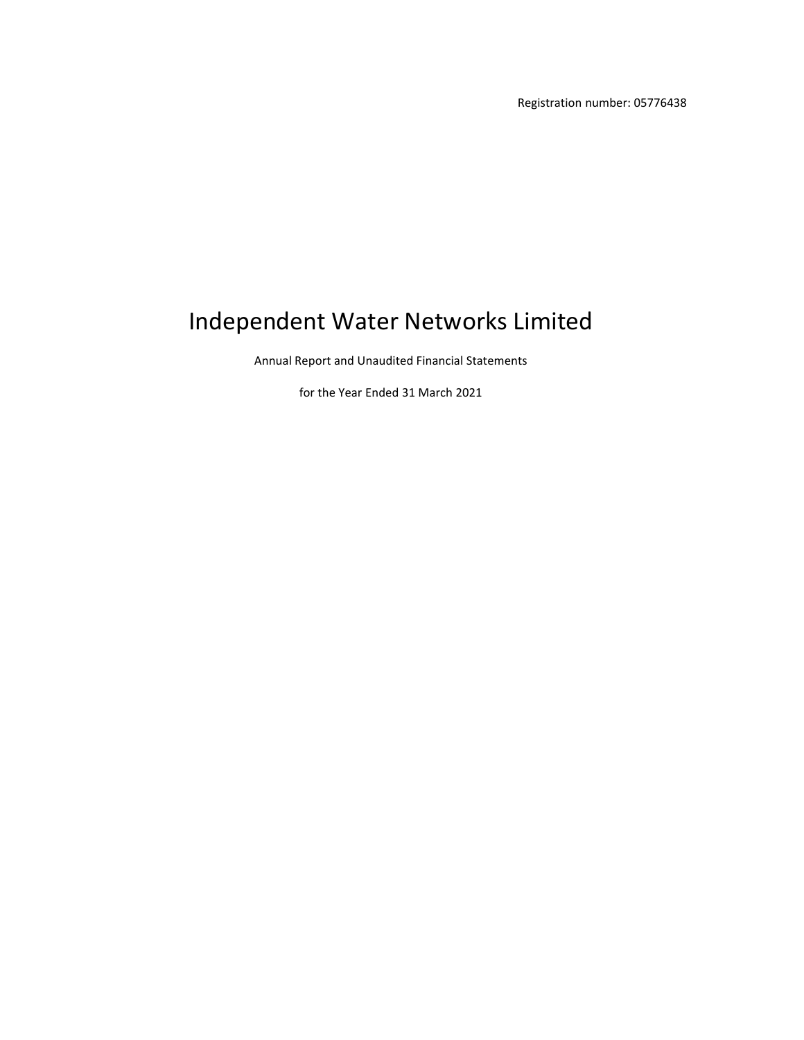Registration number: 05776438

# Independent Water Networks Limited

Annual Report and Unaudited Financial Statements

for the Year Ended 31 March 2021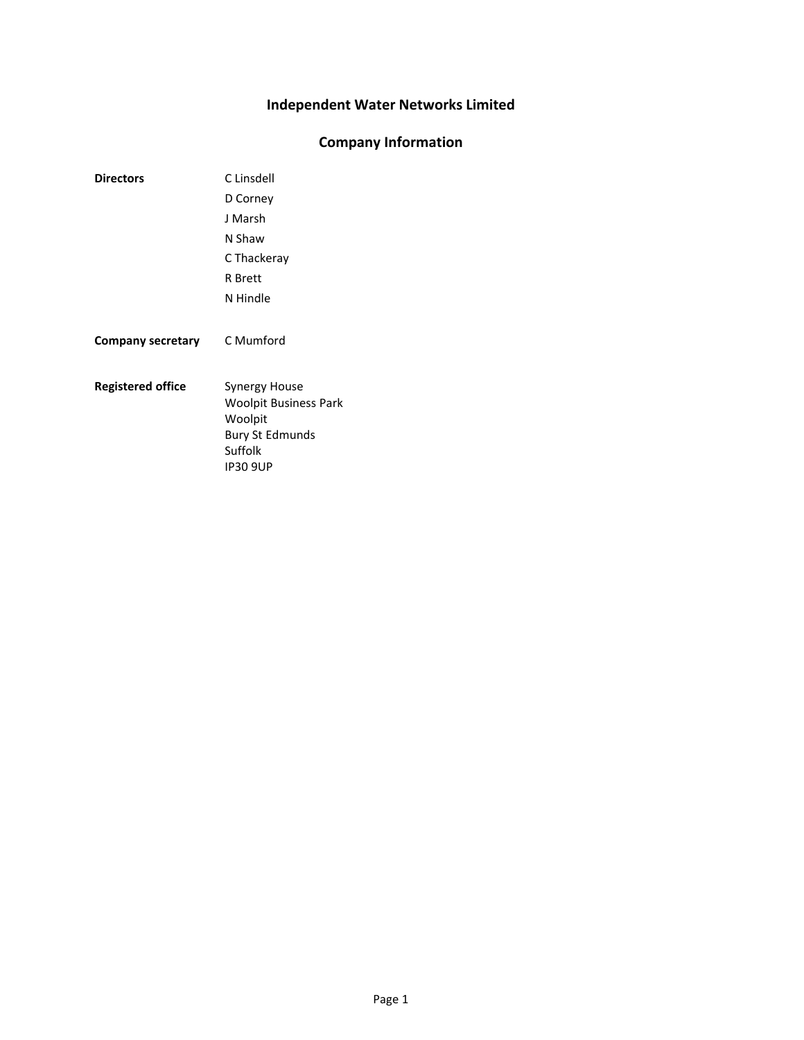### **Company Information**

- **Directors** C Linsdell D Corney J Marsh N Shaw C Thackeray R Brett N Hindle **Company secretary** C Mumford
- **Registered office** Synergy House Woolpit Business Park Woolpit Bury St Edmunds Suffolk IP30 9UP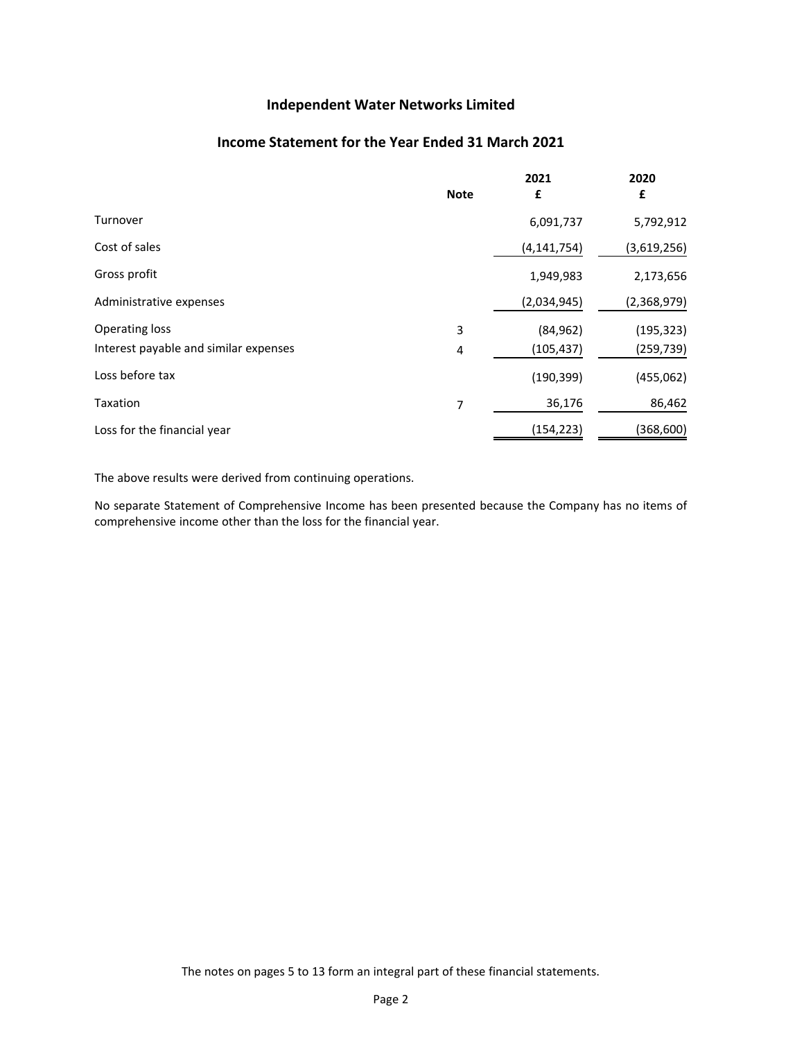### **Income Statement for the Year Ended 31 March 2021**

|                                       | <b>Note</b> | 2021<br>£     | 2020<br>£   |
|---------------------------------------|-------------|---------------|-------------|
| Turnover                              |             | 6,091,737     | 5,792,912   |
| Cost of sales                         |             | (4, 141, 754) | (3,619,256) |
| Gross profit                          |             | 1,949,983     | 2,173,656   |
| Administrative expenses               |             | (2,034,945)   | (2,368,979) |
| <b>Operating loss</b>                 | 3           | (84, 962)     | (195, 323)  |
| Interest payable and similar expenses | 4           | (105,437)     | (259, 739)  |
| Loss before tax                       |             | (190, 399)    | (455,062)   |
| Taxation                              | 7           | 36,176        | 86,462      |
| Loss for the financial year           |             | (154, 223)    | (368, 600)  |

The above results were derived from continuing operations.

No separate Statement of Comprehensive Income has been presented because the Company has no items of comprehensive income other than the loss for the financial year.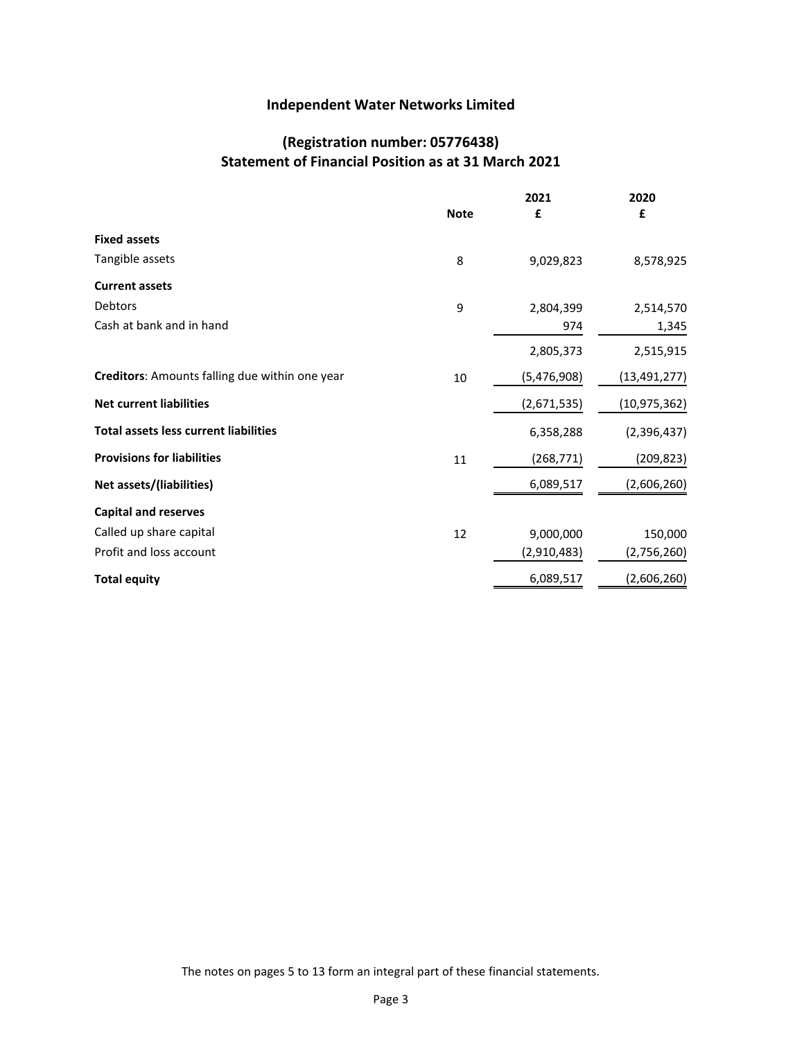### **(Registration number: 05776438) Statement of Financial Position as at 31 March 2021**

|                                                |             | 2021        | 2020           |
|------------------------------------------------|-------------|-------------|----------------|
|                                                | <b>Note</b> | £           | £              |
| <b>Fixed assets</b>                            |             |             |                |
| Tangible assets                                | 8           | 9,029,823   | 8,578,925      |
| <b>Current assets</b>                          |             |             |                |
| Debtors                                        | 9           | 2,804,399   | 2,514,570      |
| Cash at bank and in hand                       |             | 974         | 1,345          |
|                                                |             | 2,805,373   | 2,515,915      |
| Creditors: Amounts falling due within one year | 10          | (5,476,908) | (13, 491, 277) |
| <b>Net current liabilities</b>                 |             | (2,671,535) | (10, 975, 362) |
| <b>Total assets less current liabilities</b>   |             | 6,358,288   | (2,396,437)    |
| <b>Provisions for liabilities</b>              | 11          | (268, 771)  | (209, 823)     |
| Net assets/(liabilities)                       |             | 6,089,517   | (2,606,260)    |
| <b>Capital and reserves</b>                    |             |             |                |
| Called up share capital                        | 12          | 9,000,000   | 150,000        |
| Profit and loss account                        |             | (2,910,483) | (2,756,260)    |
| <b>Total equity</b>                            |             | 6,089,517   | (2,606,260)    |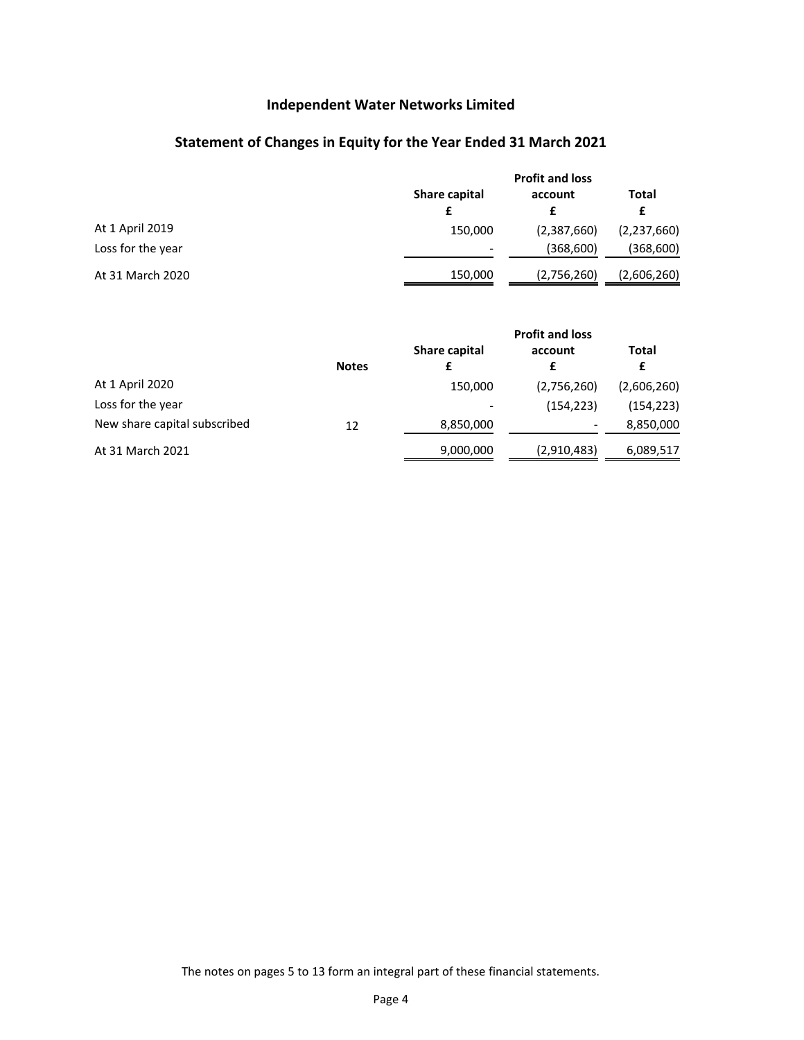## **Statement of Changes in Equity for the Year Ended 31 March 2021**

|                   | <b>Profit and loss</b> |             |             |
|-------------------|------------------------|-------------|-------------|
|                   | Share capital          | account     | Total<br>£  |
| At 1 April 2019   | 150,000                | (2,387,660) | (2,237,660) |
| Loss for the year | ٠                      | (368,600)   | (368,600)   |
| At 31 March 2020  | 150,000                | (2,756,260) | (2,606,260) |

|                              |              | <b>Profit and loss</b> |              |             |  |  |
|------------------------------|--------------|------------------------|--------------|-------------|--|--|
|                              | <b>Notes</b> | Share capital          | account<br>£ | Total<br>£  |  |  |
| At 1 April 2020              |              | 150,000                | (2,756,260)  | (2,606,260) |  |  |
| Loss for the year            |              |                        | (154, 223)   | (154, 223)  |  |  |
| New share capital subscribed | 12           | 8,850,000              |              | 8,850,000   |  |  |
| At 31 March 2021             |              | 9,000,000              | (2,910,483)  | 6,089,517   |  |  |

The notes on pages [5](#page-5-0) to [13](#page-5-0) form an integral part of these financial statements.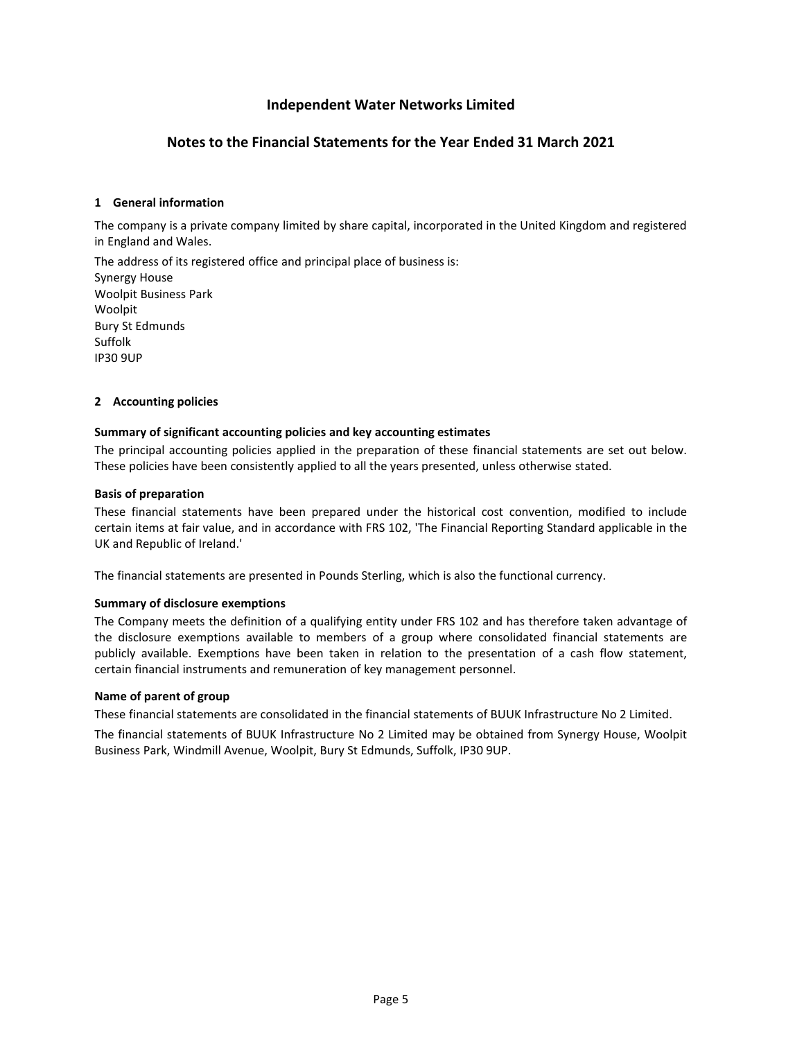### **Notes to the Financial Statements for the Year Ended 31 March 2021**

#### <span id="page-5-0"></span>**[1](#page-5-0) General information**

The company is a private company limited by share capital, incorporated in the United Kingdom and registered in England and Wales.

The address of its registered office and principal place of business is: Synergy House Woolpit Business Park Woolpit Bury St Edmunds Suffolk IP30 9UP

#### <span id="page-5-1"></span>**[2](#page-5-1) Accounting policies**

#### **Summary of significant accounting policies and key accounting estimates**

The principal accounting policies applied in the preparation of these financial statements are set out below. These policies have been consistently applied to all the years presented, unless otherwise stated.

#### **Basis of preparation**

These financial statements have been prepared under the historical cost convention, modified to include certain items at fair value, and in accordance with FRS 102, 'The Financial Reporting Standard applicable in the UK and Republic of Ireland.'

The financial statements are presented in Pounds Sterling, which is also the functional currency.

#### **Summary of disclosure exemptions**

The Company meets the definition of a qualifying entity under FRS 102 and has therefore taken advantage of the disclosure exemptions available to members of a group where consolidated financial statements are publicly available. Exemptions have been taken in relation to the presentation of a cash flow statement, certain financial instruments and remuneration of key management personnel.

#### **Name of parent of group**

These financial statements are consolidated in the financial statements of BUUK Infrastructure No 2 Limited.

The financial statements of BUUK Infrastructure No 2 Limited may be obtained from Synergy House, Woolpit Business Park, Windmill Avenue, Woolpit, Bury St Edmunds, Suffolk, IP30 9UP.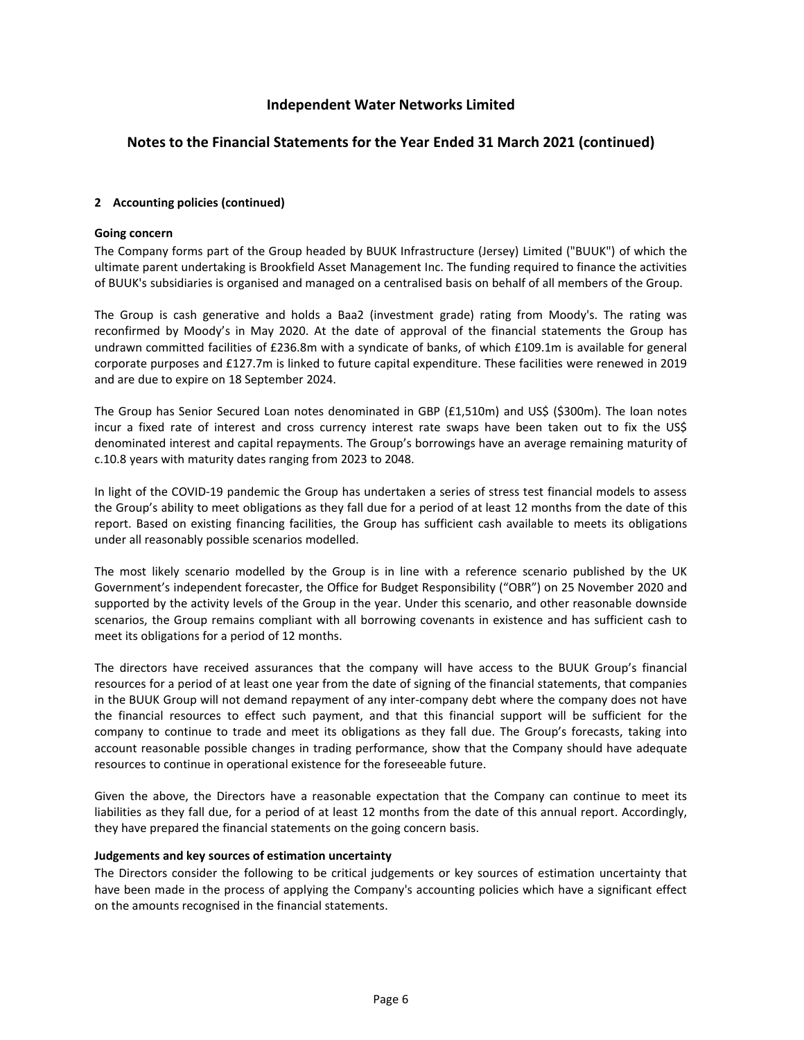#### **Notes to the Financial Statements for the Year Ended 31 March 2021 (continued)**

#### **[2](#page-5-1) Accounting policies (continued)**

#### **Going concern**

The Company forms part of the Group headed by BUUK Infrastructure (Jersey) Limited ("BUUK") of which the ultimate parent undertaking is Brookfield Asset Management Inc. The funding required to finance the activities of BUUK's subsidiaries is organised and managed on a centralised basis on behalf of all members of the Group.

The Group is cash generative and holds a Baa2 (investment grade) rating from Moody's. The rating was reconfirmed by Moody's in May 2020. At the date of approval of the financial statements the Group has undrawn committed facilities of £236.8m with a syndicate of banks, of which £109.1m is available for general corporate purposes and £127.7m is linked to future capital expenditure. These facilities were renewed in 2019 and are due to expire on 18 September 2024.

The Group has Senior Secured Loan notes denominated in GBP (£1,510m) and US\$ (\$300m). The loan notes incur a fixed rate of interest and cross currency interest rate swaps have been taken out to fix the US\$ denominated interest and capital repayments. The Group's borrowings have an average remaining maturity of c.10.8 years with maturity dates ranging from 2023 to 2048.

In light of the COVID-19 pandemic the Group has undertaken a series of stress test financial models to assess the Group's ability to meet obligations as they fall due for a period of at least 12 months from the date of this report. Based on existing financing facilities, the Group has sufficient cash available to meets its obligations under all reasonably possible scenarios modelled.

The most likely scenario modelled by the Group is in line with a reference scenario published by the UK Government's independent forecaster, the Office for Budget Responsibility ("OBR") on 25 November 2020 and supported by the activity levels of the Group in the year. Under this scenario, and other reasonable downside scenarios, the Group remains compliant with all borrowing covenants in existence and has sufficient cash to meet its obligations for a period of 12 months.

The directors have received assurances that the company will have access to the BUUK Group's financial resources for a period of at least one year from the date of signing of the financial statements, that companies in the BUUK Group will not demand repayment of any inter-company debt where the company does not have the financial resources to effect such payment, and that this financial support will be sufficient for the company to continue to trade and meet its obligations as they fall due. The Group's forecasts, taking into account reasonable possible changes in trading performance, show that the Company should have adequate resources to continue in operational existence for the foreseeable future.

Given the above, the Directors have a reasonable expectation that the Company can continue to meet its liabilities as they fall due, for a period of at least 12 months from the date of this annual report. Accordingly, they have prepared the financial statements on the going concern basis.

#### **Judgements and key sources of estimation uncertainty**

The Directors consider the following to be critical judgements or key sources of estimation uncertainty that have been made in the process of applying the Company's accounting policies which have a significant effect on the amounts recognised in the financial statements.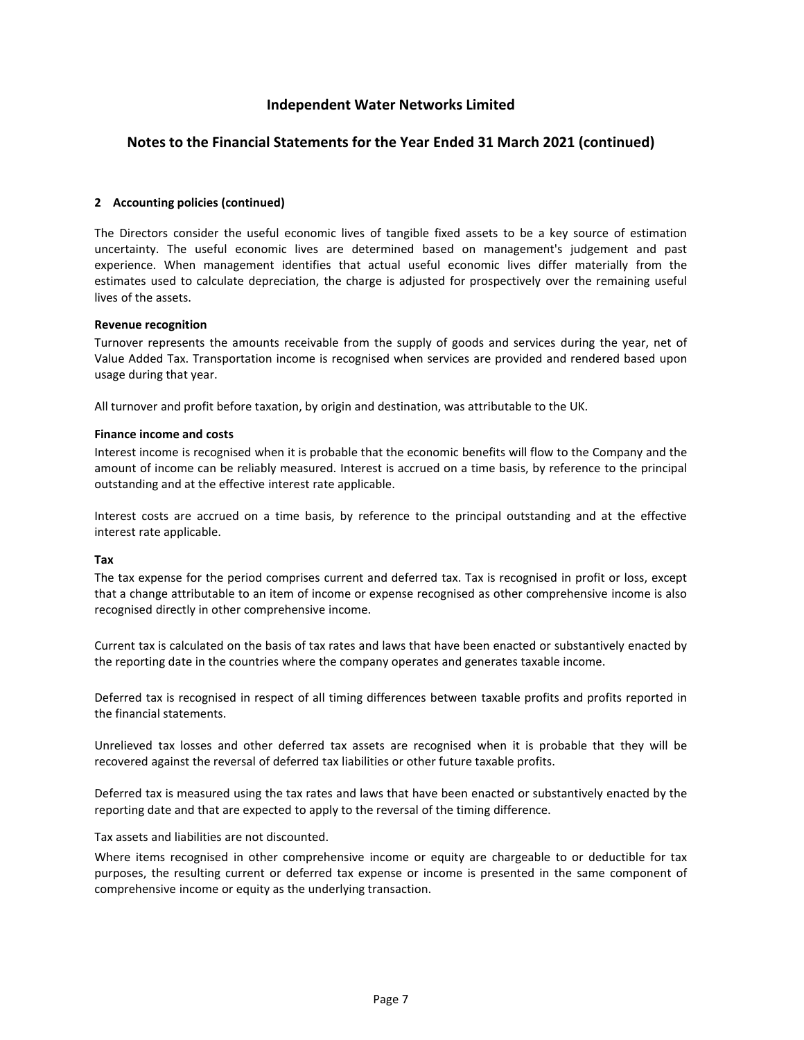#### **Notes to the Financial Statements for the Year Ended 31 March 2021 (continued)**

#### **[2](#page-5-1) Accounting policies (continued)**

The Directors consider the useful economic lives of tangible fixed assets to be a key source of estimation uncertainty. The useful economic lives are determined based on management's judgement and past experience. When management identifies that actual useful economic lives differ materially from the estimates used to calculate depreciation, the charge is adjusted for prospectively over the remaining useful lives of the assets.

#### **Revenue recognition**

Turnover represents the amounts receivable from the supply of goods and services during the year, net of Value Added Tax. Transportation income is recognised when services are provided and rendered based upon usage during that year.

All turnover and profit before taxation, by origin and destination, was attributable to the UK.

#### **Finance income and costs**

Interest income is recognised when it is probable that the economic benefits will flow to the Company and the amount of income can be reliably measured. Interest is accrued on a time basis, by reference to the principal outstanding and at the effective interest rate applicable.

Interest costs are accrued on a time basis, by reference to the principal outstanding and at the effective interest rate applicable.

#### **Tax**

The tax expense for the period comprises current and deferred tax. Tax is recognised in profit or loss, except that a change attributable to an item of income or expense recognised as other comprehensive income is also recognised directly in other comprehensive income.

Current tax is calculated on the basis of tax rates and laws that have been enacted or substantively enacted by the reporting date in the countries where the company operates and generates taxable income.

Deferred tax is recognised in respect of all timing differences between taxable profits and profits reported in the financial statements.

Unrelieved tax losses and other deferred tax assets are recognised when it is probable that they will be recovered against the reversal of deferred tax liabilities or other future taxable profits.

Deferred tax is measured using the tax rates and laws that have been enacted or substantively enacted by the reporting date and that are expected to apply to the reversal of the timing difference.

Tax assets and liabilities are not discounted.

Where items recognised in other comprehensive income or equity are chargeable to or deductible for tax purposes, the resulting current or deferred tax expense or income is presented in the same component of comprehensive income or equity as the underlying transaction.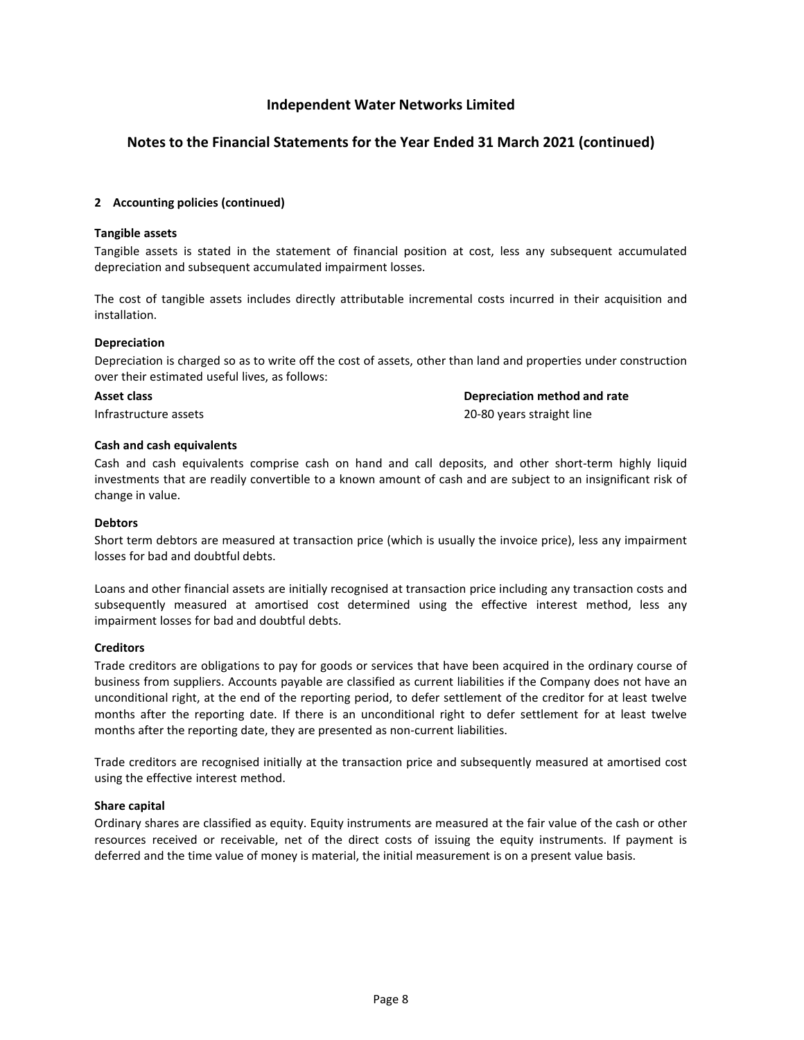#### **Notes to the Financial Statements for the Year Ended 31 March 2021 (continued)**

#### **[2](#page-5-1) Accounting policies (continued)**

#### **Tangible assets**

Tangible assets is stated in the statement of financial position at cost, less any subsequent accumulated depreciation and subsequent accumulated impairment losses.

The cost of tangible assets includes directly attributable incremental costs incurred in their acquisition and installation.

#### **Depreciation**

Depreciation is charged so as to write off the cost of assets, other than land and properties under construction over their estimated useful lives, as follows:

**Asset class Depreciation method and rate**

Infrastructure assets 20-80 years straight line

#### **Cash and cash equivalents**

Cash and cash equivalents comprise cash on hand and call deposits, and other short-term highly liquid investments that are readily convertible to a known amount of cash and are subject to an insignificant risk of change in value.

#### **Debtors**

Short term debtors are measured at transaction price (which is usually the invoice price), less any impairment losses for bad and doubtful debts.

Loans and other financial assets are initially recognised at transaction price including any transaction costs and subsequently measured at amortised cost determined using the effective interest method, less any impairment losses for bad and doubtful debts.

#### **Creditors**

Trade creditors are obligations to pay for goods or services that have been acquired in the ordinary course of business from suppliers. Accounts payable are classified as current liabilities if the Company does not have an unconditional right, at the end of the reporting period, to defer settlement of the creditor for at least twelve months after the reporting date. If there is an unconditional right to defer settlement for at least twelve months after the reporting date, they are presented as non-current liabilities.

Trade creditors are recognised initially at the transaction price and subsequently measured at amortised cost using the effective interest method.

#### **Share capital**

Ordinary shares are classified as equity. Equity instruments are measured at the fair value of the cash or other resources received or receivable, net of the direct costs of issuing the equity instruments. If payment is deferred and the time value of money is material, the initial measurement is on a present value basis.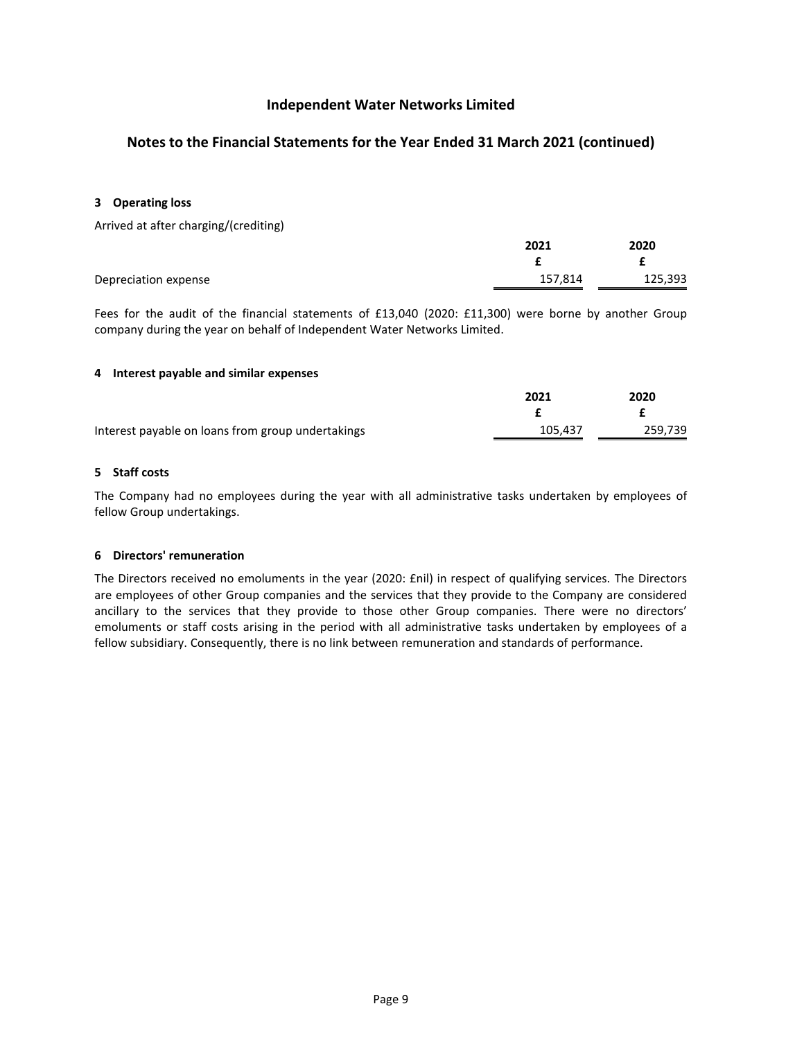### **Notes to the Financial Statements for the Year Ended 31 March 2021 (continued)**

#### <span id="page-9-0"></span>**[3](#page-9-0) Operating loss**

Arrived at after charging/(crediting)

|                      | 2021    | 2020    |
|----------------------|---------|---------|
|                      |         |         |
| Depreciation expense | 157,814 | 125,393 |

<span id="page-9-1"></span>Fees for the audit of the financial statements of £13,040 (2020: £11,300) were borne by another Group company during the year on behalf of Independent Water Networks Limited.

#### **[4](#page-9-1) Interest payable and similar expenses**

<span id="page-9-2"></span>

|                                                   | 2021    | 2020    |
|---------------------------------------------------|---------|---------|
|                                                   |         |         |
| Interest payable on loans from group undertakings | 105.437 | 259,739 |

#### **[5](#page-9-2) Staff costs**

<span id="page-9-3"></span>The Company had no employees during the year with all administrative tasks undertaken by employees of fellow Group undertakings.

#### **[6](#page-9-3) Directors' remuneration**

The Directors received no emoluments in the year (2020: £nil) in respect of qualifying services. The Directors are employees of other Group companies and the services that they provide to the Company are considered ancillary to the services that they provide to those other Group companies. There were no directors' emoluments or staff costs arising in the period with all administrative tasks undertaken by employees of a fellow subsidiary. Consequently, there is no link between remuneration and standards of performance.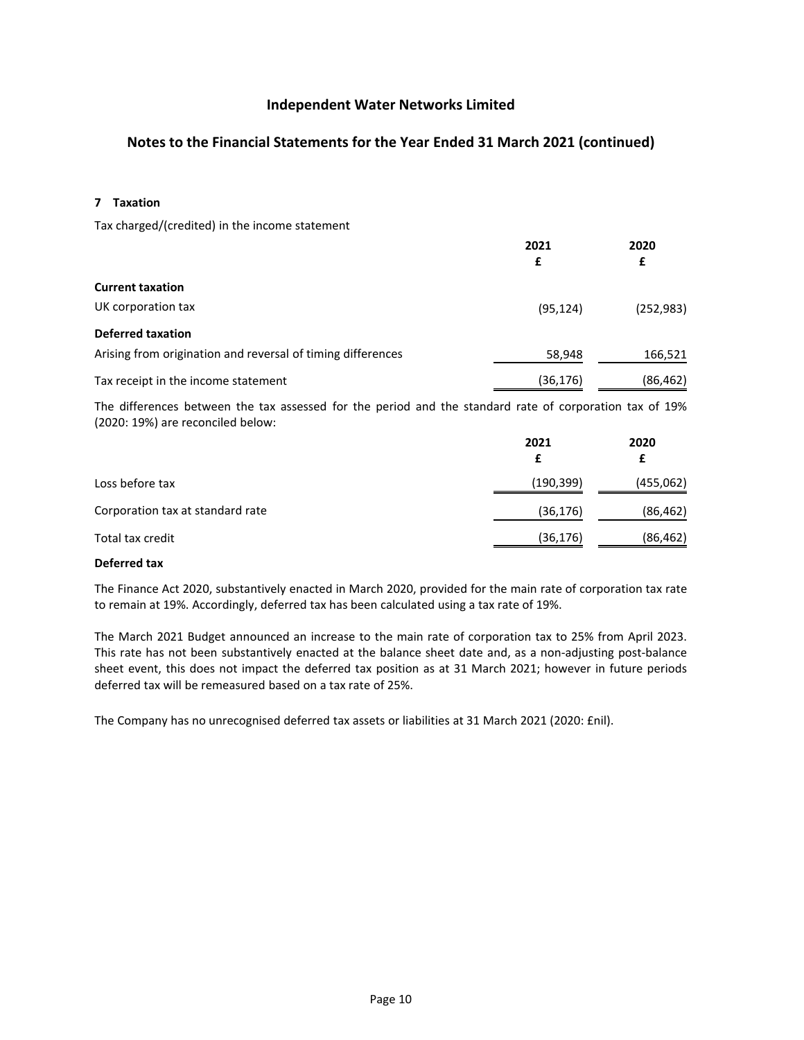### **Notes to the Financial Statements for the Year Ended 31 March 2021 (continued)**

<span id="page-10-0"></span>**[7](#page-10-0) Taxation**

Tax charged/(credited) in the income statement

|                                                             | 2021<br>£ | 2020<br>£  |
|-------------------------------------------------------------|-----------|------------|
| <b>Current taxation</b>                                     |           |            |
| UK corporation tax                                          | (95, 124) | (252, 983) |
| <b>Deferred taxation</b>                                    |           |            |
| Arising from origination and reversal of timing differences | 58,948    | 166,521    |
| Tax receipt in the income statement                         | (36,176)  | (86, 462)  |

The differences between the tax assessed for the period and the standard rate of corporation tax of 19% (2020: 19%) are reconciled below:

|                                  | 2021      | 2020      |
|----------------------------------|-----------|-----------|
| Loss before tax                  | (190,399) | (455,062) |
| Corporation tax at standard rate | (36, 176) | (86, 462) |
| Total tax credit                 | (36, 176) | (86, 462) |

#### **Deferred tax**

The Finance Act 2020, substantively enacted in March 2020, provided for the main rate of corporation tax rate to remain at 19%. Accordingly, deferred tax has been calculated using a tax rate of 19%.

The March 2021 Budget announced an increase to the main rate of corporation tax to 25% from April 2023. This rate has not been substantively enacted at the balance sheet date and, as a non-adjusting post-balance sheet event, this does not impact the deferred tax position as at 31 March 2021; however in future periods deferred tax will be remeasured based on a tax rate of 25%.

The Company has no unrecognised deferred tax assets or liabilities at 31 March 2021 (2020: £nil).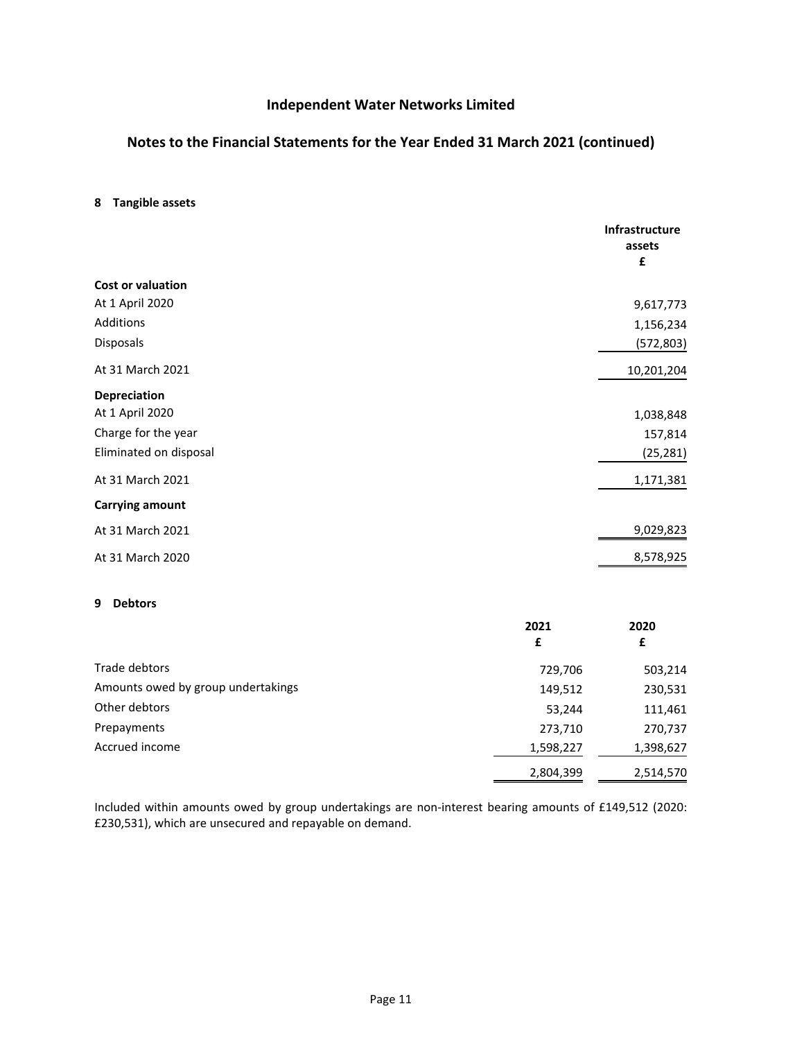### **Notes to the Financial Statements for the Year Ended 31 March 2021 (continued)**

#### <span id="page-11-0"></span>**[8](#page-11-0) Tangible assets**

|                        | Infrastructure<br>assets<br>£ |
|------------------------|-------------------------------|
| Cost or valuation      |                               |
| At 1 April 2020        | 9,617,773                     |
| Additions              | 1,156,234                     |
| Disposals              | (572,803)                     |
| At 31 March 2021       | 10,201,204                    |
| Depreciation           |                               |
| At 1 April 2020        | 1,038,848                     |
| Charge for the year    | 157,814                       |
| Eliminated on disposal | (25, 281)                     |
| At 31 March 2021       | 1,171,381                     |
| <b>Carrying amount</b> |                               |
| At 31 March 2021       | 9,029,823                     |
| At 31 March 2020       | 8,578,925                     |
|                        |                               |

#### <span id="page-11-1"></span>**[9](#page-11-1) Debtors**

|                                    | 2021<br>£ | 2020<br>£ |
|------------------------------------|-----------|-----------|
| Trade debtors                      | 729,706   | 503,214   |
| Amounts owed by group undertakings | 149,512   | 230,531   |
| Other debtors                      | 53,244    | 111,461   |
| Prepayments                        | 273,710   | 270,737   |
| Accrued income                     | 1,598,227 | 1,398,627 |
|                                    | 2,804,399 | 2,514,570 |

Included within amounts owed by group undertakings are non-interest bearing amounts of £149,512 (2020: £230,531), which are unsecured and repayable on demand.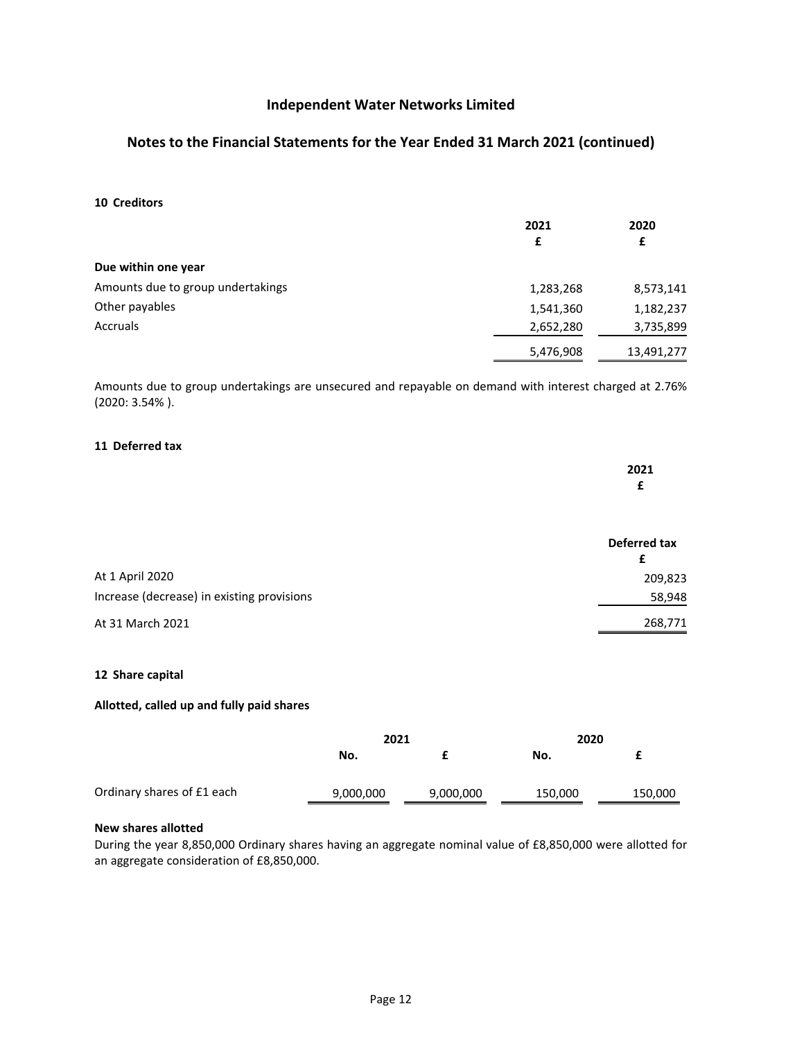### **Notes to the Financial Statements for the Year Ended 31 March 2021 (continued)**

#### <span id="page-12-0"></span>**[10](#page-12-0) Creditors**

|                                   | 2021      | 2020       |
|-----------------------------------|-----------|------------|
|                                   | £         | £          |
| Due within one year               |           |            |
| Amounts due to group undertakings | 1,283,268 | 8,573,141  |
| Other payables                    | 1,541,360 | 1,182,237  |
| Accruals                          | 2,652,280 | 3,735,899  |
|                                   | 5,476,908 | 13,491,277 |

<span id="page-12-1"></span>Amounts due to group undertakings are unsecured and repayable on demand with interest charged at 2.76% (2020: 3.54% ).

#### **[11](#page-12-1) Deferred tax**

|  |  | 2021 |
|--|--|------|
|  |  | -    |
|  |  |      |

|                                            | Deferred tax |  |
|--------------------------------------------|--------------|--|
| At 1 April 2020                            | 209,823      |  |
| Increase (decrease) in existing provisions | 58,948       |  |
| At 31 March 2021                           | 268,771      |  |

#### <span id="page-12-2"></span>**[12](#page-12-2) Share capital**

#### **Allotted, called up and fully paid shares**

|                            | 2021      |           | 2020    |         |
|----------------------------|-----------|-----------|---------|---------|
|                            | No.       |           | No.     |         |
| Ordinary shares of £1 each | 9,000,000 | 9,000,000 | 150,000 | 150,000 |

#### **New shares allotted**

During the year 8,850,000 Ordinary shares having an aggregate nominal value of £8,850,000 were allotted for an aggregate consideration of £8,850,000.